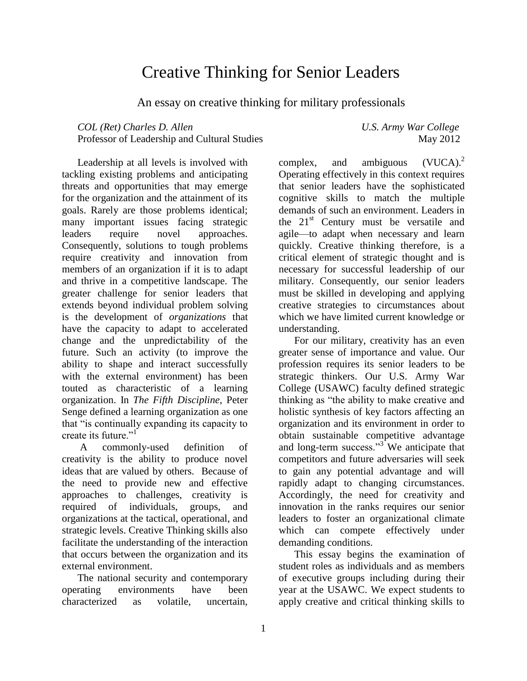# Creative Thinking for Senior Leaders

An essay on creative thinking for military professionals

*COL (Ret) Charles D. Allen U.S. Army War College* Professor of Leadership and Cultural Studies May 2012

Leadership at all levels is involved with tackling existing problems and anticipating threats and opportunities that may emerge for the organization and the attainment of its goals. Rarely are those problems identical; many important issues facing strategic leaders require novel approaches. Consequently, solutions to tough problems require creativity and innovation from members of an organization if it is to adapt and thrive in a competitive landscape. The greater challenge for senior leaders that extends beyond individual problem solving is the development of *organizations* that have the capacity to adapt to accelerated change and the unpredictability of the future. Such an activity (to improve the ability to shape and interact successfully with the external environment) has been touted as characteristic of a learning organization. In *The Fifth Discipline*, Peter Senge defined a learning organization as one that "is continually expanding its capacity to create its future."<sup>1</sup>

A commonly-used definition of creativity is the ability to produce novel ideas that are valued by others. Because of the need to provide new and effective approaches to challenges, creativity is required of individuals, groups, and organizations at the tactical, operational, and strategic levels. Creative Thinking skills also facilitate the understanding of the interaction that occurs between the organization and its external environment.

The national security and contemporary operating environments have been characterized as volatile, uncertain,

complex, and ambiguous  $(VUCA)^2$ Operating effectively in this context requires that senior leaders have the sophisticated cognitive skills to match the multiple demands of such an environment. Leaders in the  $21<sup>st</sup>$  Century must be versatile and agile—to adapt when necessary and learn quickly. Creative thinking therefore, is a critical element of strategic thought and is necessary for successful leadership of our military. Consequently, our senior leaders must be skilled in developing and applying creative strategies to circumstances about which we have limited current knowledge or understanding.

For our military, creativity has an even greater sense of importance and value. Our profession requires its senior leaders to be strategic thinkers. Our U.S. Army War College (USAWC) faculty defined strategic thinking as "the ability to make creative and holistic synthesis of key factors affecting an organization and its environment in order to obtain sustainable competitive advantage and long-term success."<sup>3</sup> We anticipate that competitors and future adversaries will seek to gain any potential advantage and will rapidly adapt to changing circumstances. Accordingly, the need for creativity and innovation in the ranks requires our senior leaders to foster an organizational climate which can compete effectively under demanding conditions.

This essay begins the examination of student roles as individuals and as members of executive groups including during their year at the USAWC. We expect students to apply creative and critical thinking skills to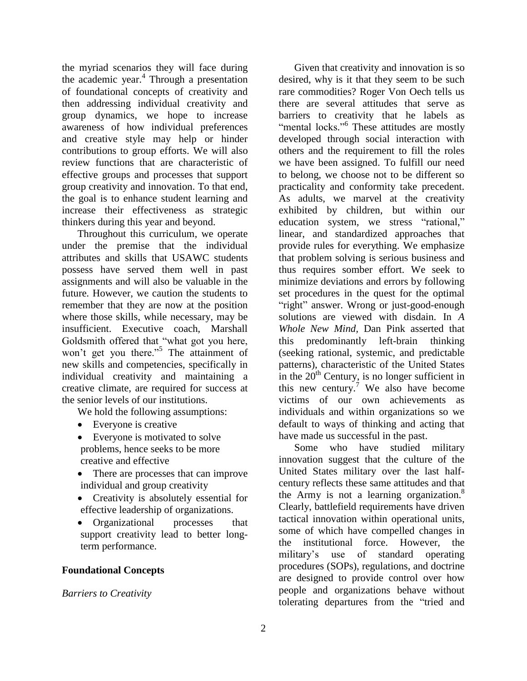the myriad scenarios they will face during the academic year. 4 Through a presentation of foundational concepts of creativity and then addressing individual creativity and group dynamics, we hope to increase awareness of how individual preferences and creative style may help or hinder contributions to group efforts. We will also review functions that are characteristic of effective groups and processes that support group creativity and innovation. To that end, the goal is to enhance student learning and increase their effectiveness as strategic thinkers during this year and beyond.

Throughout this curriculum, we operate under the premise that the individual attributes and skills that USAWC students possess have served them well in past assignments and will also be valuable in the future. However, we caution the students to remember that they are now at the position where those skills, while necessary, may be insufficient. Executive coach, Marshall Goldsmith offered that "what got you here, won't get you there."<sup>5</sup> The attainment of new skills and competencies, specifically in individual creativity and maintaining a creative climate, are required for success at the senior levels of our institutions.

We hold the following assumptions:

- Everyone is creative
- Everyone is motivated to solve problems, hence seeks to be more creative and effective
- There are processes that can improve individual and group creativity
- Creativity is absolutely essential for effective leadership of organizations.
- Organizational processes that support creativity lead to better longterm performance.

# **Foundational Concepts**

# *Barriers to Creativity*

Given that creativity and innovation is so desired, why is it that they seem to be such rare commodities? Roger Von Oech tells us there are several attitudes that serve as barriers to creativity that he labels as "mental locks."<sup>6</sup> These attitudes are mostly developed through social interaction with others and the requirement to fill the roles we have been assigned. To fulfill our need to belong, we choose not to be different so practicality and conformity take precedent. As adults, we marvel at the creativity exhibited by children, but within our education system, we stress "rational," linear, and standardized approaches that provide rules for everything. We emphasize that problem solving is serious business and thus requires somber effort. We seek to minimize deviations and errors by following set procedures in the quest for the optimal "right" answer. Wrong or just-good-enough solutions are viewed with disdain. In *A Whole New Mind,* Dan Pink asserted that this predominantly left-brain thinking (seeking rational, systemic, and predictable patterns), characteristic of the United States in the  $20<sup>th</sup>$  Century, is no longer sufficient in this new century.<sup>7</sup> We also have become victims of our own achievements as individuals and within organizations so we default to ways of thinking and acting that have made us successful in the past.

Some who have studied military innovation suggest that the culture of the United States military over the last halfcentury reflects these same attitudes and that the Army is not a learning organization. $8$ Clearly, battlefield requirements have driven tactical innovation within operational units, some of which have compelled changes in the institutional force. However, the military's use of standard operating procedures (SOPs), regulations, and doctrine are designed to provide control over how people and organizations behave without tolerating departures from the "tried and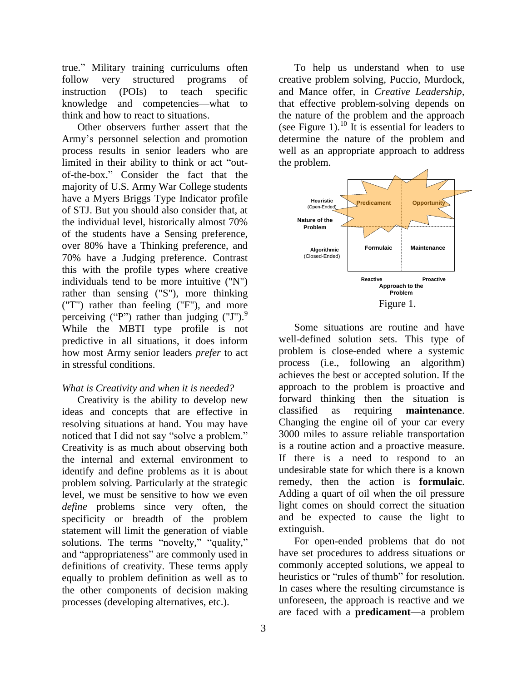true." Military training curriculums often follow very structured programs of instruction (POIs) to teach specific knowledge and competencies—what to think and how to react to situations.

Other observers further assert that the Army's personnel selection and promotion process results in senior leaders who are limited in their ability to think or act "outof-the-box.‖ Consider the fact that the majority of U.S. Army War College students have a Myers Briggs Type Indicator profile of STJ. But you should also consider that, at the individual level, historically almost 70% of the students have a Sensing preference, over 80% have a Thinking preference, and 70% have a Judging preference. Contrast this with the profile types where creative individuals tend to be more intuitive ("N") rather than sensing ("S"), more thinking ("T") rather than feeling ("F"), and more perceiving ("P") rather than judging  $(TJ')$ . While the MBTI type profile is not predictive in all situations, it does inform how most Army senior leaders *prefer* to act in stressful conditions.

## *What is Creativity and when it is needed?*

Creativity is the ability to develop new ideas and concepts that are effective in resolving situations at hand. You may have noticed that I did not say "solve a problem." Creativity is as much about observing both the internal and external environment to identify and define problems as it is about problem solving. Particularly at the strategic level, we must be sensitive to how we even *define* problems since very often, the specificity or breadth of the problem statement will limit the generation of viable solutions. The terms "novelty," "quality," and "appropriateness" are commonly used in definitions of creativity. These terms apply equally to problem definition as well as to the other components of decision making processes (developing alternatives, etc.).

To help us understand when to use creative problem solving, Puccio, Murdock, and Mance offer, in *Creative Leadership,* that effective problem-solving depends on the nature of the problem and the approach (see Figure 1).<sup>10</sup> It is essential for leaders to determine the nature of the problem and well as an appropriate approach to address the problem.



Some situations are routine and have well-defined solution sets. This type of problem is close-ended where a systemic process (i.e., following an algorithm) achieves the best or accepted solution. If the approach to the problem is proactive and forward thinking then the situation is classified as requiring **maintenance**. Changing the engine oil of your car every 3000 miles to assure reliable transportation is a routine action and a proactive measure. If there is a need to respond to an undesirable state for which there is a known remedy, then the action is **formulaic**. Adding a quart of oil when the oil pressure light comes on should correct the situation and be expected to cause the light to extinguish.

For open-ended problems that do not have set procedures to address situations or commonly accepted solutions, we appeal to heuristics or "rules of thumb" for resolution. In cases where the resulting circumstance is unforeseen, the approach is reactive and we are faced with a **predicament**—a problem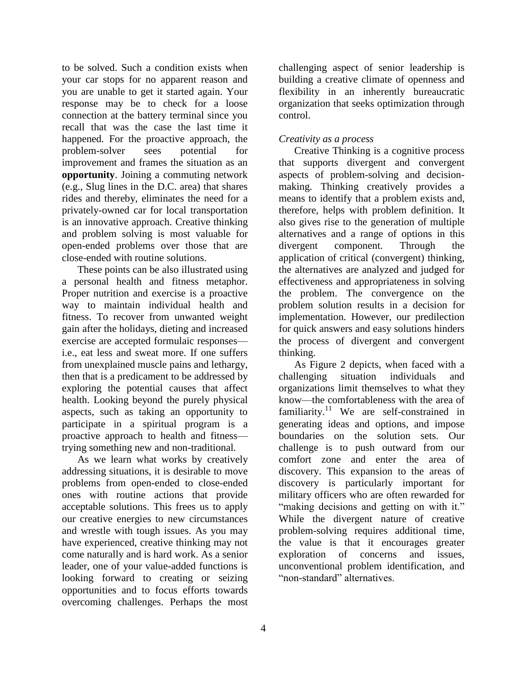to be solved. Such a condition exists when your car stops for no apparent reason and you are unable to get it started again. Your response may be to check for a loose connection at the battery terminal since you recall that was the case the last time it happened. For the proactive approach, the problem-solver sees potential for improvement and frames the situation as an **opportunity**. Joining a commuting network (e.g., Slug lines in the D.C. area) that shares rides and thereby, eliminates the need for a privately-owned car for local transportation is an innovative approach. Creative thinking and problem solving is most valuable for open-ended problems over those that are close-ended with routine solutions.

These points can be also illustrated using a personal health and fitness metaphor. Proper nutrition and exercise is a proactive way to maintain individual health and fitness. To recover from unwanted weight gain after the holidays, dieting and increased exercise are accepted formulaic responses i.e., eat less and sweat more. If one suffers from unexplained muscle pains and lethargy, then that is a predicament to be addressed by exploring the potential causes that affect health. Looking beyond the purely physical aspects, such as taking an opportunity to participate in a spiritual program is a proactive approach to health and fitness trying something new and non-traditional.

As we learn what works by creatively addressing situations, it is desirable to move problems from open-ended to close-ended ones with routine actions that provide acceptable solutions. This frees us to apply our creative energies to new circumstances and wrestle with tough issues. As you may have experienced, creative thinking may not come naturally and is hard work. As a senior leader, one of your value-added functions is looking forward to creating or seizing opportunities and to focus efforts towards overcoming challenges. Perhaps the most

challenging aspect of senior leadership is building a creative climate of openness and flexibility in an inherently bureaucratic organization that seeks optimization through control.

# *Creativity as a process*

Creative Thinking is a cognitive process that supports divergent and convergent aspects of problem-solving and decisionmaking. Thinking creatively provides a means to identify that a problem exists and, therefore, helps with problem definition. It also gives rise to the generation of multiple alternatives and a range of options in this divergent component. Through the application of critical (convergent) thinking, the alternatives are analyzed and judged for effectiveness and appropriateness in solving the problem. The convergence on the problem solution results in a decision for implementation. However, our predilection for quick answers and easy solutions hinders the process of divergent and convergent thinking.

As Figure 2 depicts, when faced with a challenging situation individuals and organizations limit themselves to what they know—the comfortableness with the area of familiarity.<sup>11</sup> We are self-constrained in generating ideas and options, and impose boundaries on the solution sets. Our challenge is to push outward from our comfort zone and enter the area of discovery. This expansion to the areas of discovery is particularly important for military officers who are often rewarded for "making decisions and getting on with it." While the divergent nature of creative problem-solving requires additional time, the value is that it encourages greater exploration of concerns and issues, unconventional problem identification, and "non-standard" alternatives.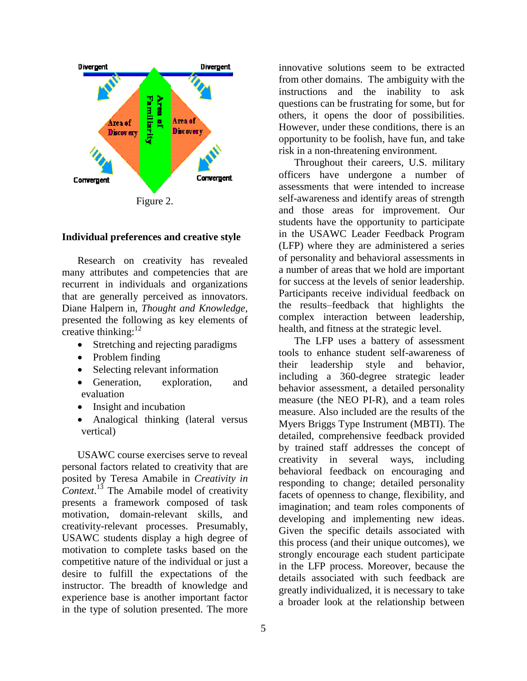

#### **Individual preferences and creative style**

Research on creativity has revealed many attributes and competencies that are recurrent in individuals and organizations that are generally perceived as innovators. Diane Halpern in, *Thought and Knowledge*, presented the following as key elements of creative thinking:<sup>12</sup>

- Stretching and rejecting paradigms
- Problem finding
- Selecting relevant information
- Generation, exploration, and evaluation
- Insight and incubation
- Analogical thinking (lateral versus vertical)

USAWC course exercises serve to reveal personal factors related to creativity that are posited by Teresa Amabile in *Creativity in Context*. <sup>13</sup> The Amabile model of creativity presents a framework composed of task motivation, domain-relevant skills, and creativity-relevant processes. Presumably, USAWC students display a high degree of motivation to complete tasks based on the competitive nature of the individual or just a desire to fulfill the expectations of the instructor. The breadth of knowledge and experience base is another important factor in the type of solution presented. The more

innovative solutions seem to be extracted from other domains. The ambiguity with the instructions and the inability to ask questions can be frustrating for some, but for others, it opens the door of possibilities. However, under these conditions, there is an opportunity to be foolish, have fun, and take risk in a non-threatening environment.

Throughout their careers, U.S. military officers have undergone a number of assessments that were intended to increase self-awareness and identify areas of strength and those areas for improvement. Our students have the opportunity to participate in the USAWC Leader Feedback Program (LFP) where they are administered a series of personality and behavioral assessments in a number of areas that we hold are important for success at the levels of senior leadership. Participants receive individual feedback on the results–feedback that highlights the complex interaction between leadership, health, and fitness at the strategic level.

The LFP uses a battery of assessment tools to enhance student self-awareness of their leadership style and behavior, including a 360-degree strategic leader behavior assessment, a detailed personality measure (the NEO PI-R), and a team roles measure. Also included are the results of the Myers Briggs Type Instrument (MBTI). The detailed, comprehensive feedback provided by trained staff addresses the concept of creativity in several ways, including behavioral feedback on encouraging and responding to change; detailed personality facets of openness to change, flexibility, and imagination; and team roles components of developing and implementing new ideas. Given the specific details associated with this process (and their unique outcomes), we strongly encourage each student participate in the LFP process. Moreover, because the details associated with such feedback are greatly individualized, it is necessary to take a broader look at the relationship between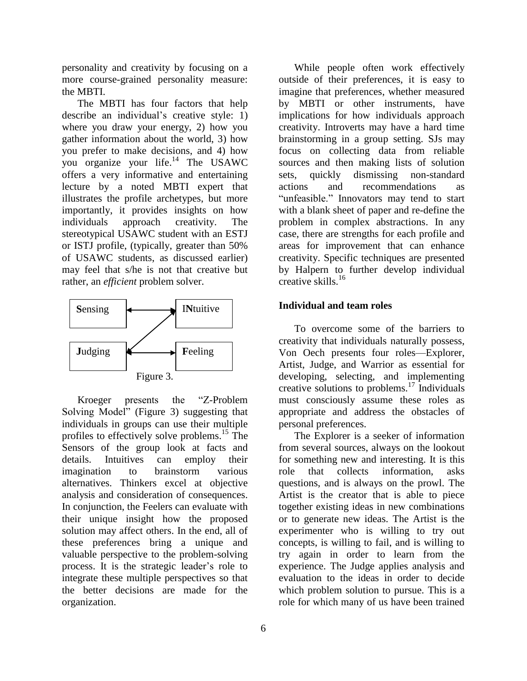personality and creativity by focusing on a more course-grained personality measure: the MBTI.

The MBTI has four factors that help describe an individual's creative style: 1) where you draw your energy, 2) how you gather information about the world, 3) how you prefer to make decisions, and 4) how you organize your life.<sup>14</sup> The USAWC offers a very informative and entertaining lecture by a noted MBTI expert that illustrates the profile archetypes, but more importantly, it provides insights on how individuals approach creativity. The stereotypical USAWC student with an ESTJ or ISTJ profile, (typically, greater than 50% of USAWC students, as discussed earlier) may feel that s/he is not that creative but rather, an *efficient* problem solver.



Kroeger presents the "Z-Problem" Solving Model" (Figure 3) suggesting that individuals in groups can use their multiple profiles to effectively solve problems. <sup>15</sup> The Sensors of the group look at facts and details. Intuitives can employ their imagination to brainstorm various alternatives. Thinkers excel at objective analysis and consideration of consequences. In conjunction, the Feelers can evaluate with their unique insight how the proposed solution may affect others. In the end, all of these preferences bring a unique and valuable perspective to the problem-solving process. It is the strategic leader's role to integrate these multiple perspectives so that the better decisions are made for the organization.

6

While people often work effectively outside of their preferences, it is easy to imagine that preferences, whether measured by MBTI or other instruments, have implications for how individuals approach creativity. Introverts may have a hard time brainstorming in a group setting. SJs may focus on collecting data from reliable sources and then making lists of solution sets, quickly dismissing non-standard actions and recommendations as "unfeasible." Innovators may tend to start with a blank sheet of paper and re-define the problem in complex abstractions. In any case, there are strengths for each profile and areas for improvement that can enhance creativity. Specific techniques are presented by Halpern to further develop individual creative skills.<sup>16</sup>

## **Individual and team roles**

To overcome some of the barriers to creativity that individuals naturally possess, Von Oech presents four roles—Explorer, Artist, Judge, and Warrior as essential for developing, selecting, and implementing creative solutions to problems.<sup>17</sup> Individuals must consciously assume these roles as appropriate and address the obstacles of personal preferences.

The Explorer is a seeker of information from several sources, always on the lookout for something new and interesting. It is this role that collects information, asks questions, and is always on the prowl. The Artist is the creator that is able to piece together existing ideas in new combinations or to generate new ideas. The Artist is the experimenter who is willing to try out concepts, is willing to fail, and is willing to try again in order to learn from the experience. The Judge applies analysis and evaluation to the ideas in order to decide which problem solution to pursue. This is a role for which many of us have been trained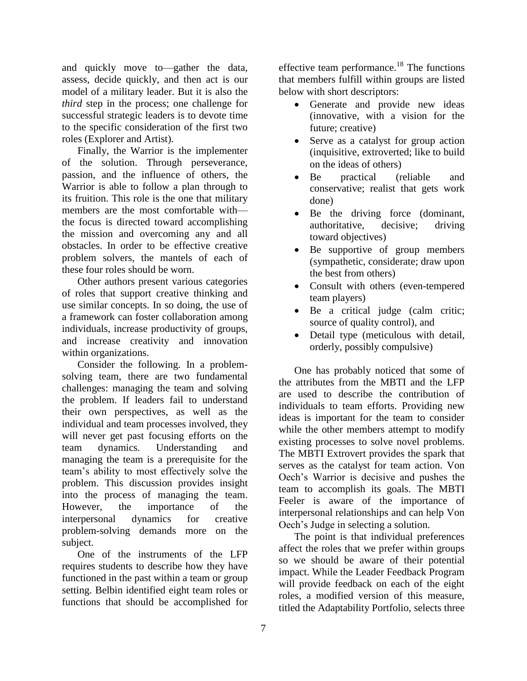and quickly move to—gather the data, assess, decide quickly, and then act is our model of a military leader. But it is also the *third* step in the process; one challenge for successful strategic leaders is to devote time to the specific consideration of the first two roles (Explorer and Artist).

Finally, the Warrior is the implementer of the solution. Through perseverance, passion, and the influence of others, the Warrior is able to follow a plan through to its fruition. This role is the one that military members are the most comfortable with the focus is directed toward accomplishing the mission and overcoming any and all obstacles. In order to be effective creative problem solvers, the mantels of each of these four roles should be worn.

Other authors present various categories of roles that support creative thinking and use similar concepts. In so doing, the use of a framework can foster collaboration among individuals, increase productivity of groups, and increase creativity and innovation within organizations.

Consider the following. In a problemsolving team, there are two fundamental challenges: managing the team and solving the problem. If leaders fail to understand their own perspectives, as well as the individual and team processes involved, they will never get past focusing efforts on the team dynamics. Understanding and managing the team is a prerequisite for the team's ability to most effectively solve the problem. This discussion provides insight into the process of managing the team. However, the importance of the interpersonal dynamics for creative problem-solving demands more on the subject.

One of the instruments of the LFP requires students to describe how they have functioned in the past within a team or group setting. Belbin identified eight team roles or functions that should be accomplished for effective team performance.<sup>18</sup> The functions that members fulfill within groups are listed below with short descriptors:

- Generate and provide new ideas (innovative, with a vision for the future; creative)
- Serve as a catalyst for group action (inquisitive, extroverted; like to build on the ideas of others)
- Be practical (reliable and conservative; realist that gets work done)
- Be the driving force (dominant, authoritative, decisive; driving toward objectives)
- Be supportive of group members (sympathetic, considerate; draw upon the best from others)
- Consult with others (even-tempered team players)
- Be a critical judge (calm critic; source of quality control), and
- Detail type (meticulous with detail, orderly, possibly compulsive)

One has probably noticed that some of the attributes from the MBTI and the LFP are used to describe the contribution of individuals to team efforts. Providing new ideas is important for the team to consider while the other members attempt to modify existing processes to solve novel problems. The MBTI Extrovert provides the spark that serves as the catalyst for team action. Von Oech's Warrior is decisive and pushes the team to accomplish its goals. The MBTI Feeler is aware of the importance of interpersonal relationships and can help Von Oech's Judge in selecting a solution.

The point is that individual preferences affect the roles that we prefer within groups so we should be aware of their potential impact. While the Leader Feedback Program will provide feedback on each of the eight roles, a modified version of this measure, titled the Adaptability Portfolio, selects three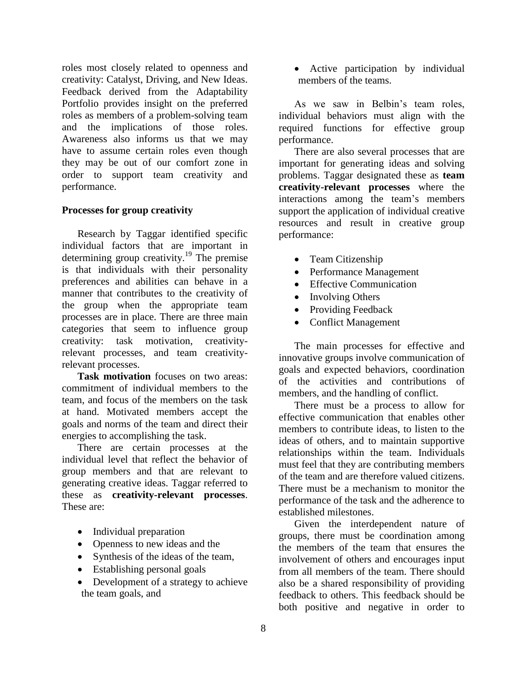roles most closely related to openness and creativity: Catalyst, Driving, and New Ideas. Feedback derived from the Adaptability Portfolio provides insight on the preferred roles as members of a problem-solving team and the implications of those roles. Awareness also informs us that we may have to assume certain roles even though they may be out of our comfort zone in order to support team creativity and performance.

## **Processes for group creativity**

Research by Taggar identified specific individual factors that are important in determining group creativity. <sup>19</sup> The premise is that individuals with their personality preferences and abilities can behave in a manner that contributes to the creativity of the group when the appropriate team processes are in place. There are three main categories that seem to influence group creativity: task motivation, creativityrelevant processes, and team creativityrelevant processes.

**Task motivation** focuses on two areas: commitment of individual members to the team, and focus of the members on the task at hand. Motivated members accept the goals and norms of the team and direct their energies to accomplishing the task.

There are certain processes at the individual level that reflect the behavior of group members and that are relevant to generating creative ideas. Taggar referred to these as **creativity-relevant processes**. These are:

- Individual preparation
- Openness to new ideas and the
- Synthesis of the ideas of the team,
- Establishing personal goals
- Development of a strategy to achieve the team goals, and

 Active participation by individual members of the teams.

As we saw in Belbin's team roles, individual behaviors must align with the required functions for effective group performance.

There are also several processes that are important for generating ideas and solving problems. Taggar designated these as **team creativity-relevant processes** where the interactions among the team's members support the application of individual creative resources and result in creative group performance:

- Team Citizenship
- Performance Management
- Effective Communication
- Involving Others
- Providing Feedback
- Conflict Management

The main processes for effective and innovative groups involve communication of goals and expected behaviors, coordination of the activities and contributions of members, and the handling of conflict.

There must be a process to allow for effective communication that enables other members to contribute ideas, to listen to the ideas of others, and to maintain supportive relationships within the team. Individuals must feel that they are contributing members of the team and are therefore valued citizens. There must be a mechanism to monitor the performance of the task and the adherence to established milestones.

Given the interdependent nature of groups, there must be coordination among the members of the team that ensures the involvement of others and encourages input from all members of the team. There should also be a shared responsibility of providing feedback to others. This feedback should be both positive and negative in order to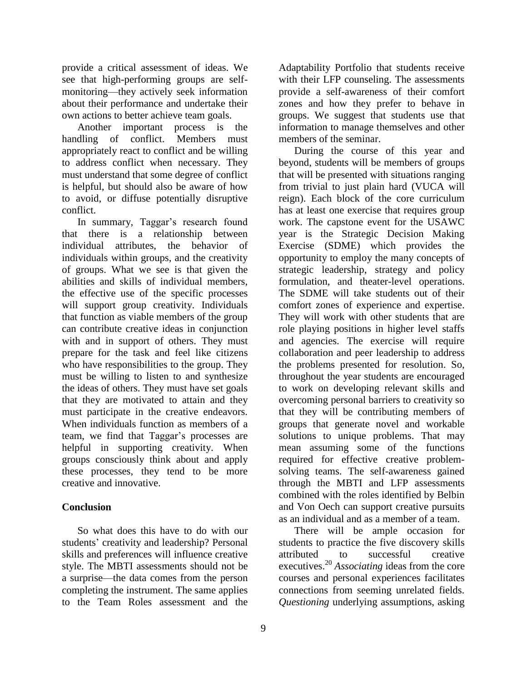provide a critical assessment of ideas. We see that high-performing groups are selfmonitoring—they actively seek information about their performance and undertake their own actions to better achieve team goals.

Another important process is the handling of conflict. Members must appropriately react to conflict and be willing to address conflict when necessary. They must understand that some degree of conflict is helpful, but should also be aware of how to avoid, or diffuse potentially disruptive conflict.

In summary, Taggar's research found that there is a relationship between individual attributes, the behavior of individuals within groups, and the creativity of groups. What we see is that given the abilities and skills of individual members, the effective use of the specific processes will support group creativity. Individuals that function as viable members of the group can contribute creative ideas in conjunction with and in support of others. They must prepare for the task and feel like citizens who have responsibilities to the group. They must be willing to listen to and synthesize the ideas of others. They must have set goals that they are motivated to attain and they must participate in the creative endeavors. When individuals function as members of a team, we find that Taggar's processes are helpful in supporting creativity. When groups consciously think about and apply these processes, they tend to be more creative and innovative.

# **Conclusion**

So what does this have to do with our students' creativity and leadership? Personal skills and preferences will influence creative style. The MBTI assessments should not be a surprise—the data comes from the person completing the instrument. The same applies to the Team Roles assessment and the Adaptability Portfolio that students receive with their LFP counseling. The assessments provide a self-awareness of their comfort zones and how they prefer to behave in groups. We suggest that students use that information to manage themselves and other members of the seminar.

During the course of this year and beyond, students will be members of groups that will be presented with situations ranging from trivial to just plain hard (VUCA will reign). Each block of the core curriculum has at least one exercise that requires group work. The capstone event for the USAWC year is the Strategic Decision Making Exercise (SDME) which provides the opportunity to employ the many concepts of strategic leadership, strategy and policy formulation, and theater-level operations. The SDME will take students out of their comfort zones of experience and expertise. They will work with other students that are role playing positions in higher level staffs and agencies. The exercise will require collaboration and peer leadership to address the problems presented for resolution. So, throughout the year students are encouraged to work on developing relevant skills and overcoming personal barriers to creativity so that they will be contributing members of groups that generate novel and workable solutions to unique problems. That may mean assuming some of the functions required for effective creative problemsolving teams. The self-awareness gained through the MBTI and LFP assessments combined with the roles identified by Belbin and Von Oech can support creative pursuits as an individual and as a member of a team.

There will be ample occasion for students to practice the five discovery skills attributed to successful creative executives.<sup>20</sup> *Associating* ideas from the core courses and personal experiences facilitates connections from seeming unrelated fields. *Questioning* underlying assumptions, asking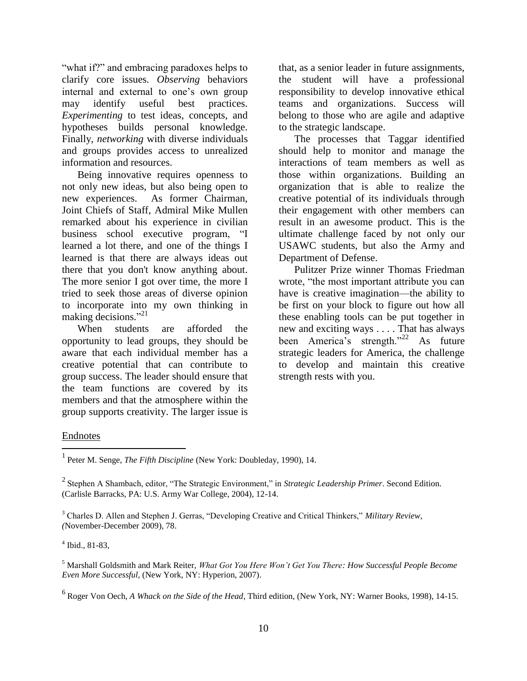"what if?" and embracing paradoxes helps to clarify core issues. *Observing* behaviors internal and external to one's own group may identify useful best practices. *Experimenting* to test ideas, concepts, and hypotheses builds personal knowledge. Finally, *networking* with diverse individuals and groups provides access to unrealized information and resources.

Being innovative requires openness to not only new ideas, but also being open to new experiences. As former Chairman, Joint Chiefs of Staff, Admiral Mike Mullen remarked about his experience in civilian business school executive program, "I learned a lot there, and one of the things I learned is that there are always ideas out there that you don't know anything about. The more senior I got over time, the more I tried to seek those areas of diverse opinion to incorporate into my own thinking in making decisions."<sup>21</sup>

When students are afforded the opportunity to lead groups, they should be aware that each individual member has a creative potential that can contribute to group success. The leader should ensure that the team functions are covered by its members and that the atmosphere within the group supports creativity. The larger issue is

that, as a senior leader in future assignments, the student will have a professional responsibility to develop innovative ethical teams and organizations. Success will belong to those who are agile and adaptive to the strategic landscape.

The processes that Taggar identified should help to monitor and manage the interactions of team members as well as those within organizations. Building an organization that is able to realize the creative potential of its individuals through their engagement with other members can result in an awesome product. This is the ultimate challenge faced by not only our USAWC students, but also the Army and Department of Defense.

Pulitzer Prize winner Thomas Friedman wrote, "the most important attribute you can have is creative imagination—the ability to be first on your block to figure out how all these enabling tools can be put together in new and exciting ways . . . . That has always been America's strength."<sup>22</sup> As future strategic leaders for America, the challenge to develop and maintain this creative strength rests with you.

# Endnotes

 $\overline{a}$ 

4 Ibid., 81-83,

<sup>&</sup>lt;sup>1</sup> Peter M. Senge, *The Fifth Discipline* (New York: Doubleday, 1990), 14.

<sup>&</sup>lt;sup>2</sup> Stephen A Shambach, editor, "The Strategic Environment," in *Strategic Leadership Primer*. Second Edition. (Carlisle Barracks, PA: U.S. Army War College, 2004), 12-14.

<sup>&</sup>lt;sup>3</sup> Charles D. Allen and Stephen J. Gerras, "Developing Creative and Critical Thinkers," *Military Review*, *(*November-December 2009), 78.

<sup>5</sup> Marshall Goldsmith and Mark Reiter, *What Got You Here Won't Get You There: How Successful People Become Even More Successful,* (New York, NY: Hyperion, 2007).

<sup>6</sup> Roger Von Oech*, A Whack on the Side of the Head*, Third edition, (New York, NY: Warner Books, 1998), 14-15.